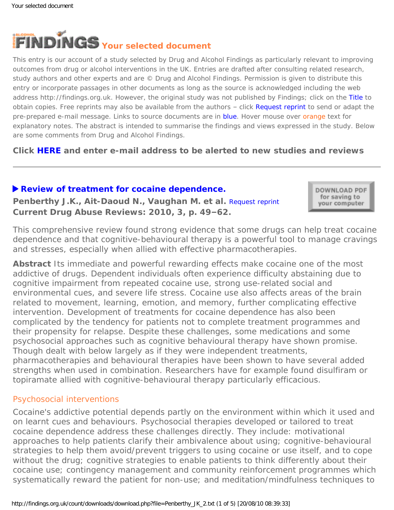

This entry is our account of a study selected by Drug and Alcohol Findings as particularly relevant to improving outcomes from drug or alcohol interventions in the UK. Entries are drafted after consulting related research, study authors and other experts and are © Drug and Alcohol Findings. Permission is given to distribute this entry or incorporate passages in other documents as long as the source is acknowledged including the web address http://findings.org.uk. However, the original study was not published by Findings; click on the Title to obtain copies. Free reprints may also be available from the authors - click Request reprint to send or adapt the pre-prepared e-mail message. Links to source documents are in blue. Hover mouse over orange text for explanatory notes. The abstract is intended to summarise the findings and views expressed in the study. Below are some comments from Drug and Alcohol Findings.

**Click [HERE](https://findings.org.uk/index.php#signUp) and enter e-mail address to be alerted to new studies and reviews**

## **[Review of treatment for cocaine dependence.](http://www.bentham.org/cdar/contabs/cdar%203-1.htm#5)**

**Penberthy J.K., Ait-Daoud N., Vaughan M. et al.** [Request reprint](mailto:JKP2N@hscmail.mcc.virginia.edu?Subject=Reprint%20request&body=Dear Dr Penberthy%0A%0AOn the Drug and Alcohol Findings web site (https://findings.org.uk) I read about your article:%0APenberthy J.K., Ait-Daoud N., Vaughan M. et al. Review of treatment for cocaine dependence. Current Drug Abuse Reviews: 2010, 3, p. 49-62.%0A%0AWould it be possible to for me to be sent a PDF reprint or the manuscript by return e-mail?%0A) **Current Drug Abuse Reviews: 2010, 3, p. 49–62.**

DOWNLOAD PDF for saving to your computer

This comprehensive review found strong evidence that some drugs can help treat cocaine dependence and that cognitive-behavioural therapy is a powerful tool to manage cravings and stresses, especially when allied with effective pharmacotherapies.

**Abstract** Its immediate and powerful rewarding effects make cocaine one of the most addictive of drugs. Dependent individuals often experience difficulty abstaining due to cognitive impairment from repeated cocaine use, strong use-related social and environmental cues, and severe life stress. Cocaine use also affects areas of the brain related to movement, learning, emotion, and memory, further complicating effective intervention. Development of treatments for cocaine dependence has also been complicated by the tendency for patients not to complete treatment programmes and their propensity for relapse. Despite these challenges, some medications and some psychosocial approaches such as cognitive behavioural therapy have shown promise. Though dealt with below largely as if they were independent treatments, pharmacotherapies and behavioural therapies have been shown to have several added strengths when used in combination. Researchers have for example found disulfiram or topiramate allied with cognitive-behavioural therapy particularly efficacious.

### Psychosocial interventions

Cocaine's addictive potential depends partly on the environment within which it used and on learnt cues and behaviours. Psychosocial therapies developed or tailored to treat cocaine dependence address these challenges directly. They include: motivational approaches to help patients clarify their ambivalence about using; cognitive-behavioural strategies to help them avoid/prevent triggers to using cocaine or use itself, and to cope without the drug; cognitive strategies to enable patients to think differently about their cocaine use; contingency management and community reinforcement programmes which systematically reward the patient for non-use; and meditation/mindfulness techniques to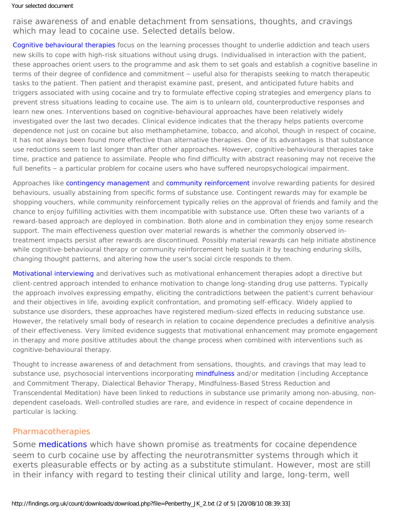#### Your selected document

raise awareness of and enable detachment from sensations, thoughts, and cravings which may lead to cocaine use. Selected details below.

[Cognitive behavioural therapies](https://findings.org.uk/count/downloads/download.php?file=Magill_M_2.txt) focus on the learning processes thought to underlie addiction and teach users new skills to cope with high-risk situations without using drugs. Individualised in interaction with the patient, these approaches orient users to the programme and ask them to set goals and establish a cognitive baseline in terms of their degree of confidence and commitment – useful also for therapists seeking to match therapeutic tasks to the patient. Then patient and therapist examine past, present, and anticipated future habits and triggers associated with using cocaine and try to formulate effective coping strategies and emergency plans to prevent stress situations leading to cocaine use. The aim is to unlearn old, counterproductive responses and learn new ones. Interventions based on cognitive-behavioural approaches have been relatively widely investigated over the last two decades. Clinical evidence indicates that the therapy helps patients overcome dependence not just on cocaine but also methamphetamine, tobacco, and alcohol, though in respect of cocaine, it has not always been found more effective than alternative therapies. One of its advantages is that substance use reductions seem to last longer than after other approaches. However, cognitive-behavioural therapies take time, practice and patience to assimilate. People who find difficulty with abstract reasoning may not receive the full benefits – a particular problem for cocaine users who have suffered neuropsychological impairment.

Approaches like [contingency management](https://findings.org.uk/count/downloads/download.php?file=hot_CM.hot) and [community reinforcement](https://findings.org.uk/count/downloads/download.php?file=Smith_JE_2.pdf) involve rewarding patients for desired behaviours, usually abstaining from specific forms of substance use. Contingent rewards may for example be shopping vouchers, while community reinforcement typically relies on the approval of friends and family and the chance to enjoy fulfilling activities with them incompatible with substance use. Often these two variants of a reward-based approach are deployed in combination. Both alone and in combination they enjoy some research support. The main effectiveness question over material rewards is whether the commonly observed intreatment impacts persist after rewards are discontinued. Possibly material rewards can help initiate abstinence while cognitive-behavioural therapy or community reinforcement help sustain it by teaching enduring skills, changing thought patterns, and altering how the user's social circle responds to them.

[Motivational interviewing](https://findings.org.uk/count/downloads/download.php?file=Lundahl_B_2.txt) and derivatives such as motivational enhancement therapies adopt a directive but client-centred approach intended to enhance motivation to change long-standing drug use patterns. Typically the approach involves expressing empathy, eliciting the contradictions between the patient's current behaviour and their objectives in life, avoiding explicit confrontation, and promoting self-efficacy. Widely applied to substance use disorders, these approaches have registered medium-sized effects in reducing substance use. However, the relatively small body of research in relation to cocaine dependence precludes a definitive analysis of their effectiveness. Very limited evidence suggests that motivational enhancement may promote engagement in therapy and more positive attitudes about the change process when combined with interventions such as cognitive-behavioural therapy.

Thought to increase awareness of and detachment from sensations, thoughts, and cravings that may lead to substance use, psychosocial interventions incorporating [mindfulness](https://findings.org.uk/count/downloads/download.php?file=Zgierska_A_1.txt) and/or meditation (including Acceptance and Commitment Therapy, Dialectical Behavior Therapy, Mindfulness-Based Stress Reduction and Transcendental Meditation) have been linked to reductions in substance use primarily among non-abusing, nondependent caseloads. Well-controlled studies are rare, and evidence in respect of cocaine dependence in particular is lacking.

# Pharmacotherapies

Some [medications](https://findings.org.uk/count/downloads/download.php?file=Kampman_KM_6.txt) which have shown promise as treatments for cocaine dependence seem to curb cocaine use by affecting the neurotransmitter systems through which it exerts pleasurable effects or by acting as a substitute stimulant. However, most are still in their infancy with regard to testing their clinical utility and large, long-term, well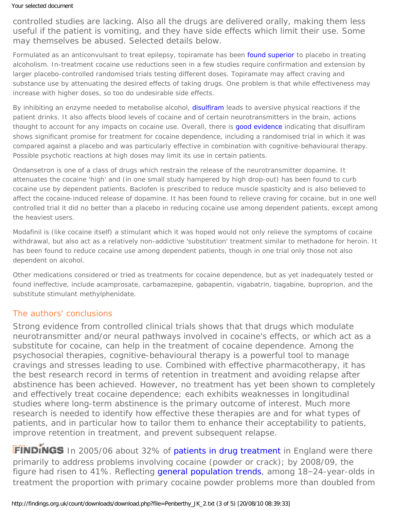controlled studies are lacking. Also all the drugs are delivered orally, making them less useful if the patient is vomiting, and they have side effects which limit their use. Some may themselves be abused. Selected details below.

Formulated as an anticonvulsant to treat epilepsy, topiramate has been [found superior](https://findings.org.uk/count/downloads/download.php?file=Garbutt_JC_3.txt) to placebo in treating alcoholism. In-treatment cocaine use reductions seen in a few studies require confirmation and extension by larger placebo-controlled randomised trials testing different doses. Topiramate may affect craving and substance use by attenuating the desired effects of taking drugs. One problem is that while effectiveness may increase with higher doses, so too do undesirable side effects.

By inhibiting an enzyme needed to metabolise alcohol, [disulfiram](https://findings.org.uk/count/downloads/download.php?file=Anton_RF_6.pdf) leads to aversive physical reactions if the patient drinks. It also affects blood levels of cocaine and of certain neurotransmitters in the brain, actions thought to account for any impacts on cocaine use. Overall, there is [good evidence](https://findings.org.uk/count/downloads/download.php?file=nug_12_2.pdf) indicating that disulfiram shows significant promise for treatment for cocaine dependence, including a randomised trial in which it was compared against a placebo and was particularly effective in combination with cognitive-behavioural therapy. Possible psychotic reactions at high doses may limit its use in certain patients.

Ondansetron is one of a class of drugs which restrain the release of the neurotransmitter dopamine. It attenuates the cocaine 'high' and (in one small study hampered by high drop-out) has been found to curb cocaine use by dependent patients. Baclofen is prescribed to reduce muscle spasticity and is also believed to affect the cocaine-induced release of dopamine. It has been found to relieve craving for cocaine, but in one well controlled trial it did no better than a placebo in reducing cocaine use among dependent patients, except among the heaviest users.

Modafinil is (like cocaine itself) a stimulant which it was hoped would not only relieve the symptoms of cocaine withdrawal, but also act as a relatively non-addictive 'substitution' treatment similar to methadone for heroin. It has been found to reduce cocaine use among dependent patients, though in one trial only those not also dependent on alcohol.

Other medications considered or tried as treatments for cocaine dependence, but as yet inadequately tested or found ineffective, include acamprosate, carbamazepine, gabapentin, vigabatrin, tiagabine, buproprion, and the substitute stimulant methylphenidate.

# The authors' conclusions

Strong evidence from controlled clinical trials shows that that drugs which modulate neurotransmitter and/or neural pathways involved in cocaine's effects, or which act as a substitute for cocaine, can help in the treatment of cocaine dependence. Among the psychosocial therapies, cognitive-behavioural therapy is a powerful tool to manage cravings and stresses leading to use. Combined with effective pharmacotherapy, it has the best research record in terms of retention in treatment and avoiding relapse after abstinence has been achieved. However, no treatment has yet been shown to completely and effectively treat cocaine dependence; each exhibits weaknesses in longitudinal studies where long-term abstinence is the primary outcome of interest. Much more research is needed to identify how effective these therapies are and for what types of patients, and in particular how to tailor them to enhance their acceptability to patients, improve retention in treatment, and prevent subsequent relapse.

FINDINGS In 2005/06 about 32% of [patients in drug treatment](http://www.nta.nhs.uk/uploads/ndtms_annual_report_200809_final.pdf) in England were there primarily to address problems involving cocaine (powder or crack); by 2008/09, the figure had risen to 41%. Reflecting [general population trends](http://www.homeoffice.gov.uk/rds/pdfs09/hosb1209.pdf), among 18-24-year-olds in treatment the proportion with primary cocaine powder problems more than doubled from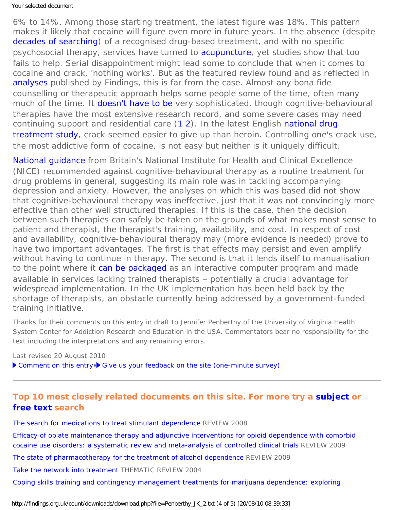### Your selected document

6% to 14%. Among those starting treatment, the latest figure was 18%. This pattern makes it likely that cocaine will figure even more in future years. In the absence (despite [decades of searching](https://findings.org.uk/count/downloads/download.php?file=Kampman_KM_6.txt)) of a recognised drug-based treatment, and with no specific psychosocial therapy, services have turned to [acupuncture](https://findings.org.uk/count/downloads/download.php?file=nugg_13_1.pdf), yet studies show that too fails to help. Serial disappointment might lead some to conclude that when it comes to cocaine and crack, 'nothing works'. But as the featured review found and as reflected in [analyses](https://findings.org.uk/count/downloads/download.php?file=hot_cocaine_treat.hot) published by Findings, this is far from the case. Almost any bona fide counselling or therapeutic approach helps some people some of the time, often many much of the time. It [doesn't have to be](https://findings.org.uk/count/downloads/download.php?file=nug_4_4.pdf) very sophisticated, though cognitive-behavioural therapies have the most extensive research record, and some severe cases may need continuing support and residential care [\(1](https://findings.org.uk/count/downloads/download.php?file=nug_10_4.pdf) [2](https://findings.org.uk/count/downloads/download.php?file=nug_4_2.pdf)). In the latest English [national drug](https://findings.org.uk/count/downloads/download.php?file=Jones_A_4.txt) [treatment study,](https://findings.org.uk/count/downloads/download.php?file=Jones_A_4.txt) crack seemed easier to give up than heroin. Controlling one's crack use, the most addictive form of cocaine, is not easy but neither is it uniquely difficult.

National quidance from Britain's National Institute for Health and Clinical Excellence (NICE) recommended against cognitive-behavioural therapy as a routine treatment for drug problems in general, suggesting its main role was in tackling accompanying depression and anxiety. However, the analyses on which this was based did not show that cognitive-behavioural therapy was *in*effective, just that it was not convincingly *more* effective than other well structured therapies. If this is the case, then the decision between such therapies can safely be taken on the grounds of what makes most sense to patient and therapist, the therapist's training, availability, and cost. In respect of cost and availability, cognitive-behavioural therapy may (more evidence is needed) prove to have two important advantages. The first is that effects may persist and even amplify without having to continue in therapy. The second is that it lends itself to manualisation to the point where it [can be packaged](https://findings.org.uk/count/downloads/download.php?file=Carroll_KM_22.txt) as an interactive computer program and made available in services lacking trained therapists – potentially a crucial advantage for widespread implementation. In the UK implementation has been held back by the shortage of therapists, an obstacle currently being addressed by a government-funded training initiative.

*Thanks for their comments on this entry in draft to Jennifer Penberthy of the University of Virginia Health System Center for Addiction Research and Education in the USA. Commentators bear no responsibility for the text including the interpretations and any remaining errors.*

Last revised 20 August 2010

[Comment on this entry](mailto:editor@findings.org.uk?Subject=Findings%20entry:%20Review%20of%20treatment%20for%20cocaine%20dependence)• [Give us your feedback on the site \(one-minute survey\)](http://www.surveymonkey.com/s/C2PX7D5)

# **Top 10 most closely related documents on this site. For more try a [subject](https://findings.org.uk/topic_search.htm) or [free text](https://findings.org.uk/free_search.htm) search**

[The search for medications to treat stimulant dependence](https://findings.org.uk/count/downloads/download.php?file=Kampman_KM_6.txt) REVIEW 2008

[Efficacy of opiate maintenance therapy and adjunctive interventions for opioid dependence with comorbid](https://findings.org.uk/count/downloads/download.php?file=Castells_X_2.txt)  [cocaine use disorders: a systematic review and meta-analysis of controlled clinical trials](https://findings.org.uk/count/downloads/download.php?file=Castells_X_2.txt) REVIEW 2009

[The state of pharmacotherapy for the treatment of alcohol dependence](https://findings.org.uk/count/downloads/download.php?file=Garbutt_JC_3.txt) REVIEW 2009

[Take the network into treatment](https://findings.org.uk/count/downloads/download.php?file=Smith_JE_2.pdf) THEMATIC REVIEW 2004

[Coping skills training and contingency management treatments for marijuana dependence: exploring](https://findings.org.uk/count/downloads/download.php?file=Litt_MD_5.txt)